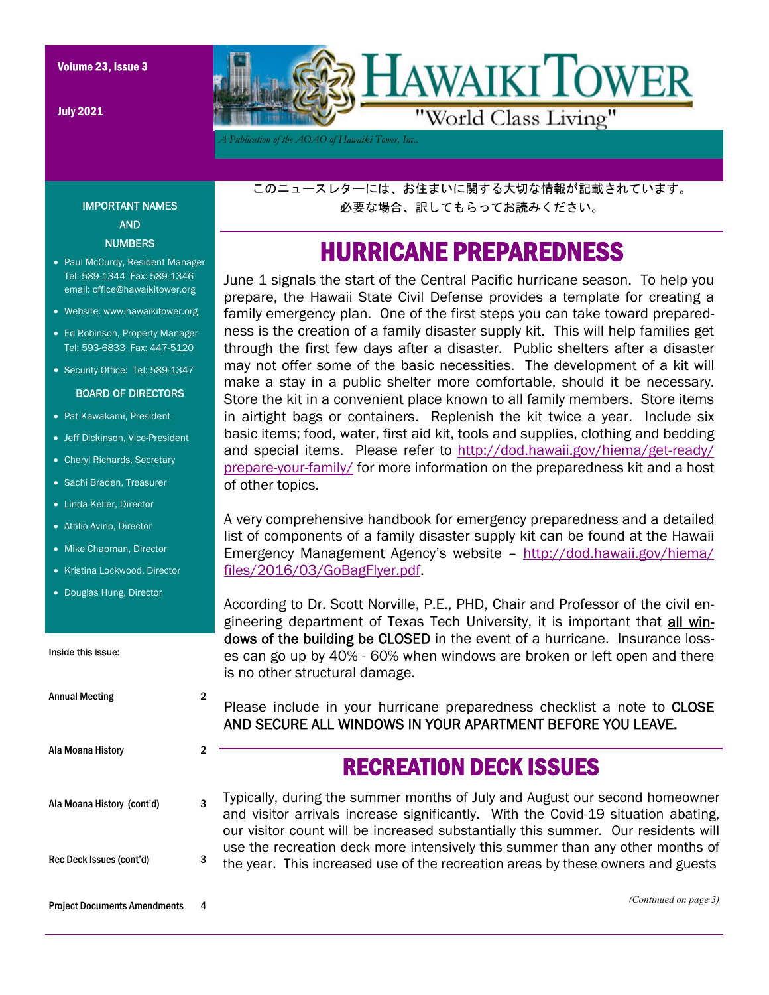July 2021



*A Publication of the AOAO of Hawaiki Tower, Inc..* 

このニュースレターには、お住まいに関する大切な情報が記載されています。 必要な場合、訳してもらってお読みください。

## HURRICANE PREPAREDNESS

June 1 signals the start of the Central Pacific hurricane season. To help you prepare, the Hawaii State Civil Defense provides a template for creating a family emergency plan. One of the first steps you can take toward preparedness is the creation of a family disaster supply kit. This will help families get through the first few days after a disaster. Public shelters after a disaster may not offer some of the basic necessities. The development of a kit will make a stay in a public shelter more comfortable, should it be necessary. Store the kit in a convenient place known to all family members. Store items in airtight bags or containers. Replenish the kit twice a year. Include six basic items; food, water, first aid kit, tools and supplies, clothing and bedding and special items. Please refer to http://dod.hawaii.gov/hiema/get-ready/ prepare-your-family/ for more information on the preparedness kit and a host of other topics.

A very comprehensive handbook for emergency preparedness and a detailed list of components of a family disaster supply kit can be found at the Hawaii Emergency Management Agency's website – http://dod.hawaii.gov/hiema/ files/2016/03/GoBagFlyer.pdf.

According to Dr. Scott Norville, P.E., PHD, Chair and Professor of the civil engineering department of Texas Tech University, it is important that all windows of the building be CLOSED in the event of a hurricane. Insurance losses can go up by 40% - 60% when windows are broken or left open and there is no other structural damage.

Please include in your hurricane preparedness checklist a note to CLOSE AND SECURE ALL WINDOWS IN YOUR APARTMENT BEFORE YOU LEAVE.

### RECREATION DECK ISSUES

Ala Moana History (cont'd) 3 Rec Deck Issues (cont'd) 3 Typically, during the summer months of July and August our second homeowner and visitor arrivals increase significantly. With the Covid-19 situation abating, our visitor count will be increased substantially this summer. Our residents will use the recreation deck more intensively this summer than any other months of the year. This increased use of the recreation areas by these owners and guests

```
Project Documents Amendments 4
```
Ala Moana History 2

Annual Meeting 2

*(Continued on page 3)* 

#### email: office@hawaikitower.org Website: www.hawaikitower.org • Ed Robinson, Property Manager

Tel: 593-6833 Fax: 447-5120

IMPORTANT NAMES AND **NUMBERS** • Paul McCurdy, Resident Manager Tel: 589-1344 Fax: 589-1346

• Security Office: Tel: 589-1347

#### BOARD OF DIRECTORS

- Pat Kawakami, President
- Jeff Dickinson, Vice-President
- Cheryl Richards, Secretary
- Sachi Braden, Treasurer
- Linda Keller, Director
- Attilio Avino, Director
- Mike Chapman, Director
- Kristina Lockwood, Director
- Douglas Hung, Director

Inside this issue: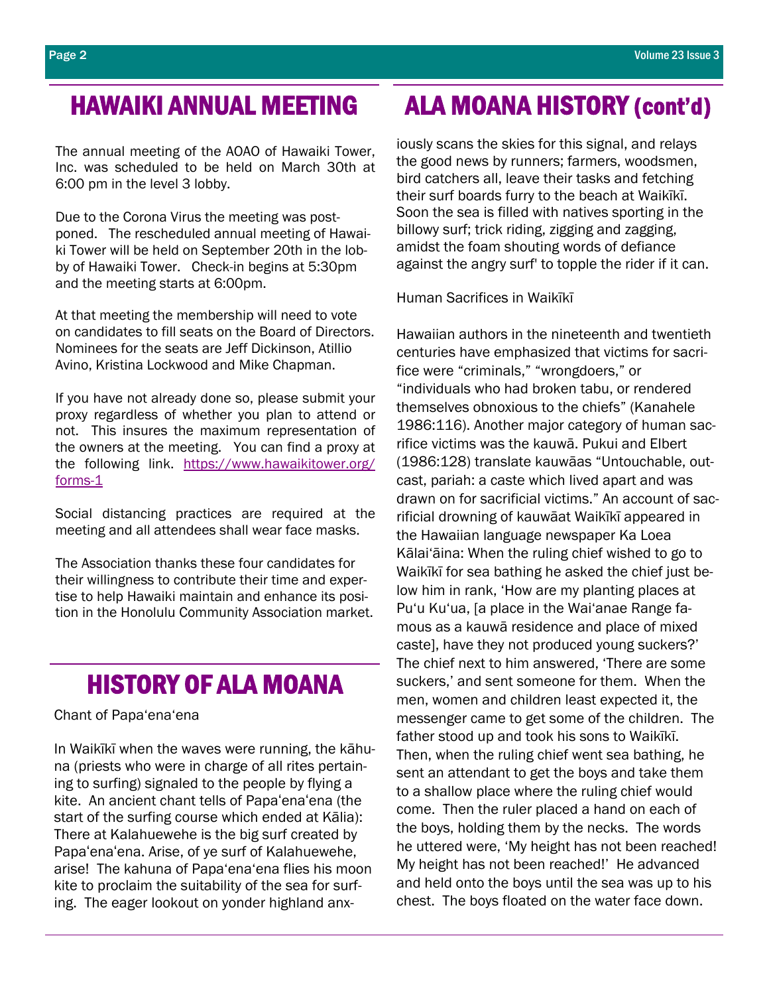The annual meeting of the AOAO of Hawaiki Tower, Inc. was scheduled to be held on March 30th at 6:00 pm in the level 3 lobby.

Due to the Corona Virus the meeting was postponed. The rescheduled annual meeting of Hawaiki Tower will be held on September 20th in the lobby of Hawaiki Tower. Check-in begins at 5:30pm and the meeting starts at 6:00pm.

At that meeting the membership will need to vote on candidates to fill seats on the Board of Directors. Nominees for the seats are Jeff Dickinson, Atillio Avino, Kristina Lockwood and Mike Chapman.

If you have not already done so, please submit your proxy regardless of whether you plan to attend or not. This insures the maximum representation of the owners at the meeting. You can find a proxy at the following link. https://www.hawaikitower.org/ forms-1

Social distancing practices are required at the meeting and all attendees shall wear face masks.

The Association thanks these four candidates for their willingness to contribute their time and expertise to help Hawaiki maintain and enhance its position in the Honolulu Community Association market.

### HISTORY OF ALA MOANA

Chant of Papa'ena'ena

In Waikīkī when the waves were running, the kāhuna (priests who were in charge of all rites pertaining to surfing) signaled to the people by flying a kite. An ancient chant tells of Papaʻenaʻena (the start of the surfing course which ended at Kālia): There at Kalahuewehe is the big surf created by Papaʻenaʻena. Arise, of ye surf of Kalahuewehe, arise! The kahuna of Papa'ena'ena flies his moon kite to proclaim the suitability of the sea for surfing. The eager lookout on yonder highland anx-

# HAWAIKI ANNUAL MEETING ALA MOANA HISTORY (cont'd)

iously scans the skies for this signal, and relays the good news by runners; farmers, woodsmen, bird catchers all, leave their tasks and fetching their surf boards furry to the beach at Waikīkī. Soon the sea is filled with natives sporting in the billowy surf; trick riding, zigging and zagging, amidst the foam shouting words of defiance against the angry surf' to topple the rider if it can.

Human Sacrifices in Waikīkī

Hawaiian authors in the nineteenth and twentieth centuries have emphasized that victims for sacrifice were "criminals," "wrongdoers," or "individuals who had broken tabu, or rendered themselves obnoxious to the chiefs" (Kanahele 1986:116). Another major category of human sacrifice victims was the kauwā. Pukui and Elbert (1986:128) translate kauwāas "Untouchable, outcast, pariah: a caste which lived apart and was drawn on for sacrificial victims." An account of sacrificial drowning of kauwāat Waikīkī appeared in the Hawaiian language newspaper Ka Loea Kālai'āina: When the ruling chief wished to go to Waikīkī for sea bathing he asked the chief just below him in rank, 'How are my planting places at Pu'u Ku'ua, [a place in the Wai'anae Range famous as a kauwā residence and place of mixed caste], have they not produced young suckers?' The chief next to him answered, 'There are some suckers,' and sent someone for them. When the men, women and children least expected it, the messenger came to get some of the children. The father stood up and took his sons to Waikīkī. Then, when the ruling chief went sea bathing, he sent an attendant to get the boys and take them to a shallow place where the ruling chief would come. Then the ruler placed a hand on each of the boys, holding them by the necks. The words he uttered were, 'My height has not been reached! My height has not been reached!' He advanced and held onto the boys until the sea was up to his chest. The boys floated on the water face down.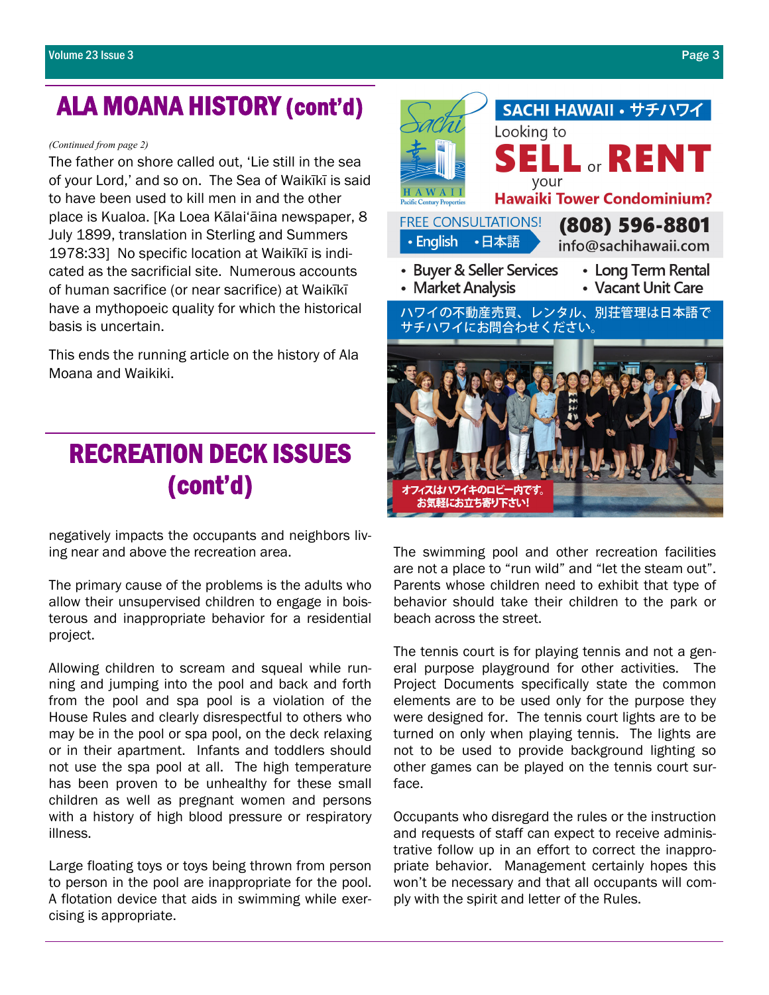# ALA MOANA HISTORY (cont'd)

*(Continued from page 2)* 

The father on shore called out, 'Lie still in the sea of your Lord,' and so on. The Sea of Waikīkī is said to have been used to kill men in and the other place is Kualoa. [Ka Loea Kālai'āina newspaper, 8 July 1899, translation in Sterling and Summers 1978:33] No specific location at Waikīkī is indicated as the sacrificial site. Numerous accounts of human sacrifice (or near sacrifice) at Waikīkī have a mythopoeic quality for which the historical basis is uncertain.

This ends the running article on the history of Ala Moana and Waikiki.

# RECREATION DECK ISSUES (cont'd)

negatively impacts the occupants and neighbors living near and above the recreation area.

The primary cause of the problems is the adults who allow their unsupervised children to engage in boisterous and inappropriate behavior for a residential project.

Allowing children to scream and squeal while running and jumping into the pool and back and forth from the pool and spa pool is a violation of the House Rules and clearly disrespectful to others who may be in the pool or spa pool, on the deck relaxing or in their apartment. Infants and toddlers should not use the spa pool at all. The high temperature has been proven to be unhealthy for these small children as well as pregnant women and persons with a history of high blood pressure or respiratory illness.

Large floating toys or toys being thrown from person to person in the pool are inappropriate for the pool. A flotation device that aids in swimming while exercising is appropriate.



The swimming pool and other recreation facilities are not a place to "run wild" and "let the steam out". Parents whose children need to exhibit that type of behavior should take their children to the park or beach across the street.

The tennis court is for playing tennis and not a general purpose playground for other activities. The Project Documents specifically state the common elements are to be used only for the purpose they were designed for. The tennis court lights are to be turned on only when playing tennis. The lights are not to be used to provide background lighting so other games can be played on the tennis court surface.

Occupants who disregard the rules or the instruction and requests of staff can expect to receive administrative follow up in an effort to correct the inappropriate behavior. Management certainly hopes this won't be necessary and that all occupants will comply with the spirit and letter of the Rules.